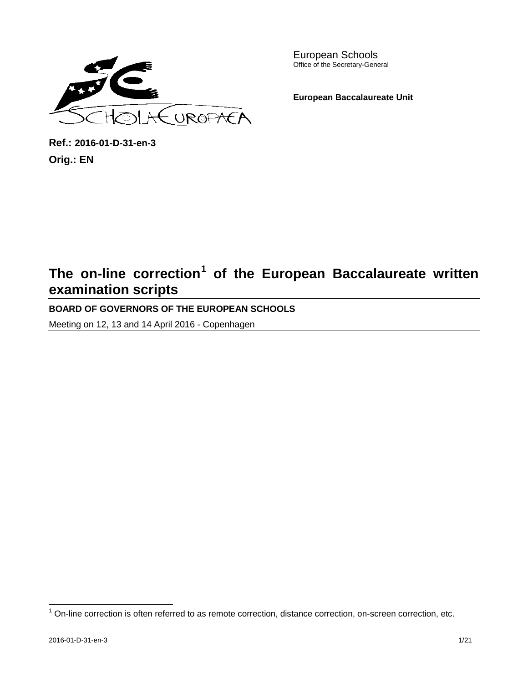

European Schools Office of the Secretary-General

**European Baccalaureate Unit**

**Ref.: 2016-01-D-31-en-3 Orig.: EN**

# **The on-line correction[1](#page-0-0) of the European Baccalaureate written examination scripts**

**BOARD OF GOVERNORS OF THE EUROPEAN SCHOOLS**

Meeting on 12, 13 and 14 April 2016 - Copenhagen

<span id="page-0-0"></span> $1$  On-line correction is often referred to as remote correction, distance correction, on-screen correction, etc.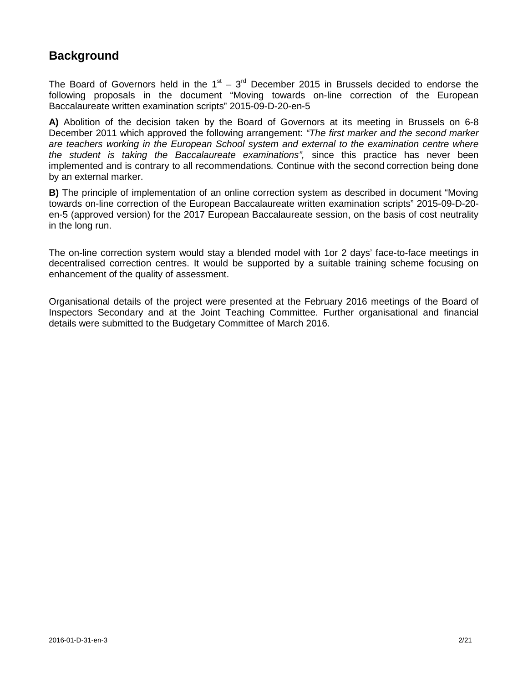## **Background**

The Board of Governors held in the  $1<sup>st</sup> - 3<sup>rd</sup>$  December 2015 in Brussels decided to endorse the following proposals in the document "Moving towards on-line correction of the European Baccalaureate written examination scripts" 2015-09-D-20-en-5

**A)** Abolition of the decision taken by the Board of Governors at its meeting in Brussels on 6-8 December 2011 which approved the following arrangement: *"The first marker and the second marker are teachers working in the European School system and external to the examination centre where the student is taking the Baccalaureate examinations",* since this practice has never been implemented and is contrary to all recommendations*.* Continue with the second correction being done by an external marker.

**B)** The principle of implementation of an online correction system as described in document "Moving towards on-line correction of the European Baccalaureate written examination scripts" 2015-09-D-20 en-5 (approved version) for the 2017 European Baccalaureate session, on the basis of cost neutrality in the long run.

The on-line correction system would stay a blended model with 1or 2 days' face-to-face meetings in decentralised correction centres. It would be supported by a suitable training scheme focusing on enhancement of the quality of assessment.

Organisational details of the project were presented at the February 2016 meetings of the Board of Inspectors Secondary and at the Joint Teaching Committee. Further organisational and financial details were submitted to the Budgetary Committee of March 2016.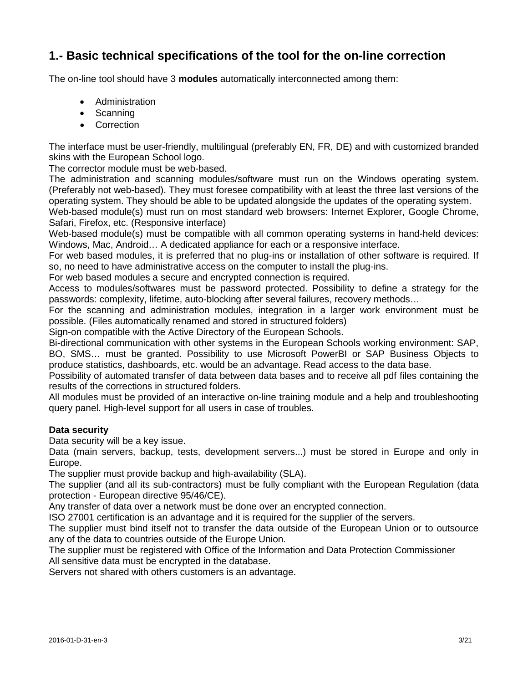## **1.- Basic technical specifications of the tool for the on-line correction**

The on-line tool should have 3 **modules** automatically interconnected among them:

- Administration
- Scanning
- Correction

The interface must be user-friendly, multilingual (preferably EN, FR, DE) and with customized branded skins with the European School logo.

The corrector module must be web-based.

The administration and scanning modules/software must run on the Windows operating system. (Preferably not web-based). They must foresee compatibility with at least the three last versions of the operating system. They should be able to be updated alongside the updates of the operating system.

Web-based module(s) must run on most standard web browsers: Internet Explorer, Google Chrome, Safari, Firefox, etc. (Responsive interface)

Web-based module(s) must be compatible with all common operating systems in hand-held devices: Windows, Mac, Android… A dedicated appliance for each or a responsive interface.

For web based modules, it is preferred that no plug-ins or installation of other software is required. If so, no need to have administrative access on the computer to install the plug-ins.

For web based modules a secure and encrypted connection is required.

Access to modules/softwares must be password protected. Possibility to define a strategy for the passwords: complexity, lifetime, auto-blocking after several failures, recovery methods…

For the scanning and administration modules, integration in a larger work environment must be possible. (Files automatically renamed and stored in structured folders)

Sign-on compatible with the Active Directory of the European Schools.

Bi-directional communication with other systems in the European Schools working environment: SAP, BO, SMS… must be granted. Possibility to use Microsoft PowerBI or SAP Business Objects to produce statistics, dashboards, etc. would be an advantage. Read access to the data base.

Possibility of automated transfer of data between data bases and to receive all pdf files containing the results of the corrections in structured folders.

All modules must be provided of an interactive on-line training module and a help and troubleshooting query panel. High-level support for all users in case of troubles.

## **Data security**

Data security will be a key issue.

Data (main servers, backup, tests, development servers...) must be stored in Europe and only in Europe.

The supplier must provide backup and high-availability (SLA).

The supplier (and all its sub-contractors) must be fully compliant with the European Regulation (data protection - European directive 95/46/CE).

Any transfer of data over a network must be done over an encrypted connection.

ISO 27001 certification is an advantage and it is required for the supplier of the servers.

The supplier must bind itself not to transfer the data outside of the European Union or to outsource any of the data to countries outside of the Europe Union.

The supplier must be registered with Office of the Information and Data Protection Commissioner All sensitive data must be encrypted in the database.

Servers not shared with others customers is an advantage.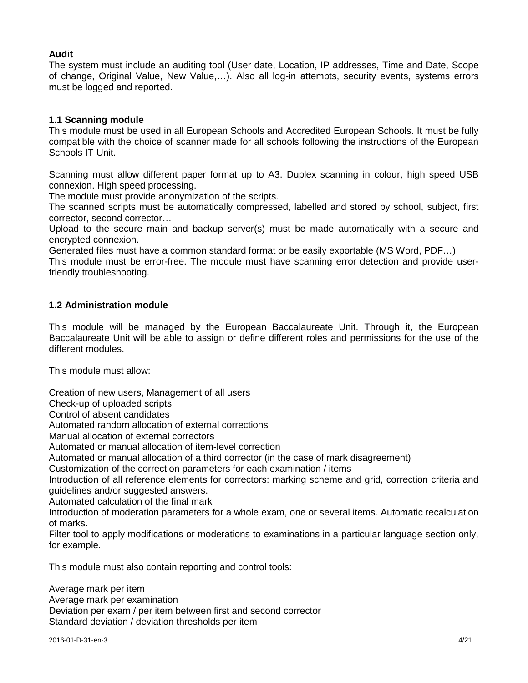## **Audit**

The system must include an auditing tool (User date, Location, IP addresses, Time and Date, Scope of change, Original Value, New Value,…). Also all log-in attempts, security events, systems errors must be logged and reported.

## **1.1 Scanning module**

This module must be used in all European Schools and Accredited European Schools. It must be fully compatible with the choice of scanner made for all schools following the instructions of the European Schools IT Unit.

Scanning must allow different paper format up to A3. Duplex scanning in colour, high speed USB connexion. High speed processing.

The module must provide anonymization of the scripts.

The scanned scripts must be automatically compressed, labelled and stored by school, subject, first corrector, second corrector…

Upload to the secure main and backup server(s) must be made automatically with a secure and encrypted connexion.

Generated files must have a common standard format or be easily exportable (MS Word, PDF…)

This module must be error-free. The module must have scanning error detection and provide userfriendly troubleshooting.

## **1.2 Administration module**

This module will be managed by the European Baccalaureate Unit. Through it, the European Baccalaureate Unit will be able to assign or define different roles and permissions for the use of the different modules.

This module must allow:

Creation of new users, Management of all users

Check-up of uploaded scripts

Control of absent candidates

Automated random allocation of external corrections

Manual allocation of external correctors

Automated or manual allocation of item-level correction

Automated or manual allocation of a third corrector (in the case of mark disagreement)

Customization of the correction parameters for each examination / items

Introduction of all reference elements for correctors: marking scheme and grid, correction criteria and guidelines and/or suggested answers.

Automated calculation of the final mark

Introduction of moderation parameters for a whole exam, one or several items. Automatic recalculation of marks.

Filter tool to apply modifications or moderations to examinations in a particular language section only, for example.

This module must also contain reporting and control tools:

Average mark per item Average mark per examination Deviation per exam / per item between first and second corrector Standard deviation / deviation thresholds per item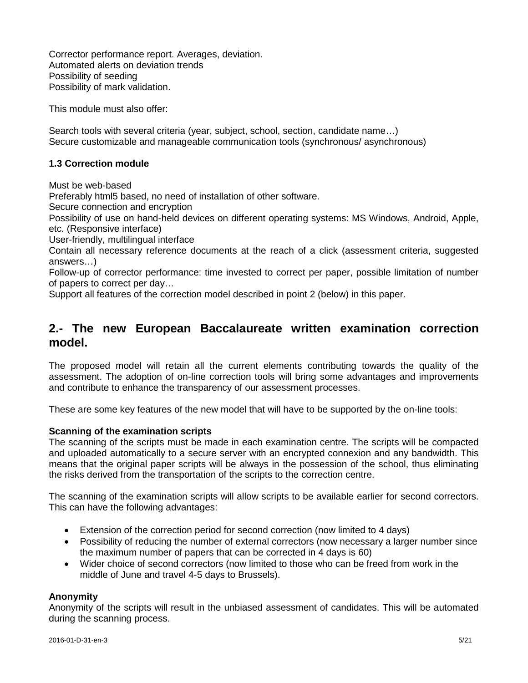Corrector performance report. Averages, deviation. Automated alerts on deviation trends Possibility of seeding Possibility of mark validation.

This module must also offer:

Search tools with several criteria (year, subject, school, section, candidate name…) Secure customizable and manageable communication tools (synchronous/ asynchronous)

## **1.3 Correction module**

Must be web-based

Preferably html5 based, no need of installation of other software.

Secure connection and encryption

Possibility of use on hand-held devices on different operating systems: MS Windows, Android, Apple, etc. (Responsive interface)

User-friendly, multilingual interface

Contain all necessary reference documents at the reach of a click (assessment criteria, suggested answers…)

Follow-up of corrector performance: time invested to correct per paper, possible limitation of number of papers to correct per day…

Support all features of the correction model described in point 2 (below) in this paper.

## **2.- The new European Baccalaureate written examination correction model.**

The proposed model will retain all the current elements contributing towards the quality of the assessment. The adoption of on-line correction tools will bring some advantages and improvements and contribute to enhance the transparency of our assessment processes.

These are some key features of the new model that will have to be supported by the on-line tools:

### **Scanning of the examination scripts**

The scanning of the scripts must be made in each examination centre. The scripts will be compacted and uploaded automatically to a secure server with an encrypted connexion and any bandwidth. This means that the original paper scripts will be always in the possession of the school, thus eliminating the risks derived from the transportation of the scripts to the correction centre.

The scanning of the examination scripts will allow scripts to be available earlier for second correctors. This can have the following advantages:

- Extension of the correction period for second correction (now limited to 4 days)
- Possibility of reducing the number of external correctors (now necessary a larger number since the maximum number of papers that can be corrected in 4 days is 60)
- Wider choice of second correctors (now limited to those who can be freed from work in the middle of June and travel 4-5 days to Brussels).

### **Anonymity**

Anonymity of the scripts will result in the unbiased assessment of candidates. This will be automated during the scanning process.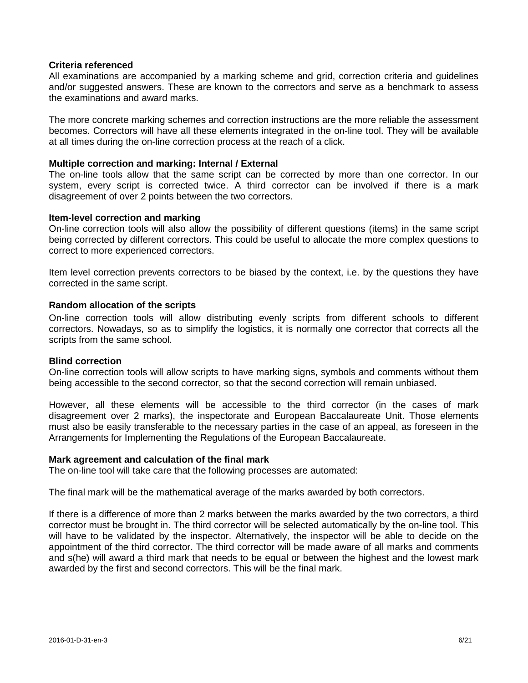### **Criteria referenced**

All examinations are accompanied by a marking scheme and grid, correction criteria and guidelines and/or suggested answers. These are known to the correctors and serve as a benchmark to assess the examinations and award marks.

The more concrete marking schemes and correction instructions are the more reliable the assessment becomes. Correctors will have all these elements integrated in the on-line tool. They will be available at all times during the on-line correction process at the reach of a click.

#### **Multiple correction and marking: Internal / External**

The on-line tools allow that the same script can be corrected by more than one corrector. In our system, every script is corrected twice. A third corrector can be involved if there is a mark disagreement of over 2 points between the two correctors.

#### **Item-level correction and marking**

On-line correction tools will also allow the possibility of different questions (items) in the same script being corrected by different correctors. This could be useful to allocate the more complex questions to correct to more experienced correctors.

Item level correction prevents correctors to be biased by the context, i.e. by the questions they have corrected in the same script.

### **Random allocation of the scripts**

On-line correction tools will allow distributing evenly scripts from different schools to different correctors. Nowadays, so as to simplify the logistics, it is normally one corrector that corrects all the scripts from the same school.

#### **Blind correction**

On-line correction tools will allow scripts to have marking signs, symbols and comments without them being accessible to the second corrector, so that the second correction will remain unbiased.

However, all these elements will be accessible to the third corrector (in the cases of mark disagreement over 2 marks), the inspectorate and European Baccalaureate Unit. Those elements must also be easily transferable to the necessary parties in the case of an appeal, as foreseen in the Arrangements for Implementing the Regulations of the European Baccalaureate.

#### **Mark agreement and calculation of the final mark**

The on-line tool will take care that the following processes are automated:

The final mark will be the mathematical average of the marks awarded by both correctors.

If there is a difference of more than 2 marks between the marks awarded by the two correctors, a third corrector must be brought in. The third corrector will be selected automatically by the on-line tool. This will have to be validated by the inspector. Alternatively, the inspector will be able to decide on the appointment of the third corrector. The third corrector will be made aware of all marks and comments and s(he) will award a third mark that needs to be equal or between the highest and the lowest mark awarded by the first and second correctors. This will be the final mark.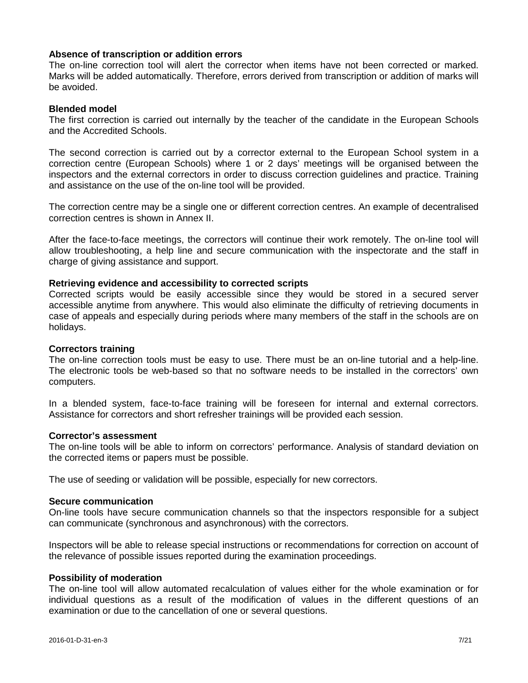### **Absence of transcription or addition errors**

The on-line correction tool will alert the corrector when items have not been corrected or marked. Marks will be added automatically. Therefore, errors derived from transcription or addition of marks will be avoided.

#### **Blended model**

The first correction is carried out internally by the teacher of the candidate in the European Schools and the Accredited Schools.

The second correction is carried out by a corrector external to the European School system in a correction centre (European Schools) where 1 or 2 days' meetings will be organised between the inspectors and the external correctors in order to discuss correction guidelines and practice. Training and assistance on the use of the on-line tool will be provided.

The correction centre may be a single one or different correction centres. An example of decentralised correction centres is shown in Annex II.

After the face-to-face meetings, the correctors will continue their work remotely. The on-line tool will allow troubleshooting, a help line and secure communication with the inspectorate and the staff in charge of giving assistance and support.

#### **Retrieving evidence and accessibility to corrected scripts**

Corrected scripts would be easily accessible since they would be stored in a secured server accessible anytime from anywhere. This would also eliminate the difficulty of retrieving documents in case of appeals and especially during periods where many members of the staff in the schools are on holidays.

#### **Correctors training**

The on-line correction tools must be easy to use. There must be an on-line tutorial and a help-line. The electronic tools be web-based so that no software needs to be installed in the correctors' own computers.

In a blended system, face-to-face training will be foreseen for internal and external correctors. Assistance for correctors and short refresher trainings will be provided each session.

#### **Corrector's assessment**

The on-line tools will be able to inform on correctors' performance. Analysis of standard deviation on the corrected items or papers must be possible.

The use of seeding or validation will be possible, especially for new correctors.

#### **Secure communication**

On-line tools have secure communication channels so that the inspectors responsible for a subject can communicate (synchronous and asynchronous) with the correctors.

Inspectors will be able to release special instructions or recommendations for correction on account of the relevance of possible issues reported during the examination proceedings.

#### **Possibility of moderation**

The on-line tool will allow automated recalculation of values either for the whole examination or for individual questions as a result of the modification of values in the different questions of an examination or due to the cancellation of one or several questions.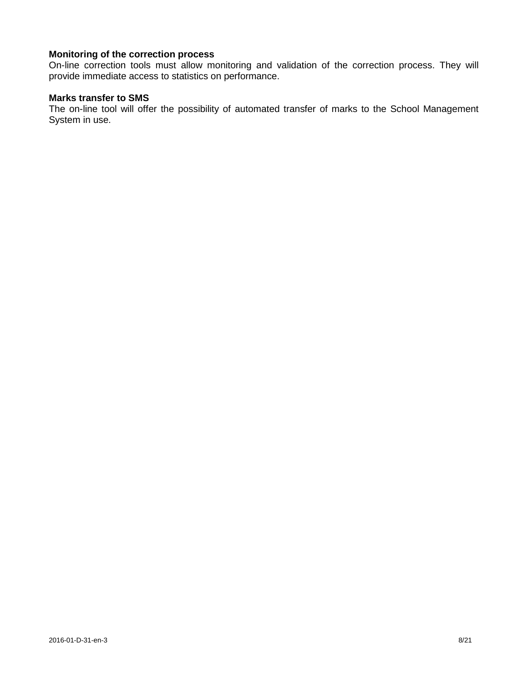## **Monitoring of the correction process**

On-line correction tools must allow monitoring and validation of the correction process. They will provide immediate access to statistics on performance.

## **Marks transfer to SMS**

The on-line tool will offer the possibility of automated transfer of marks to the School Management System in use.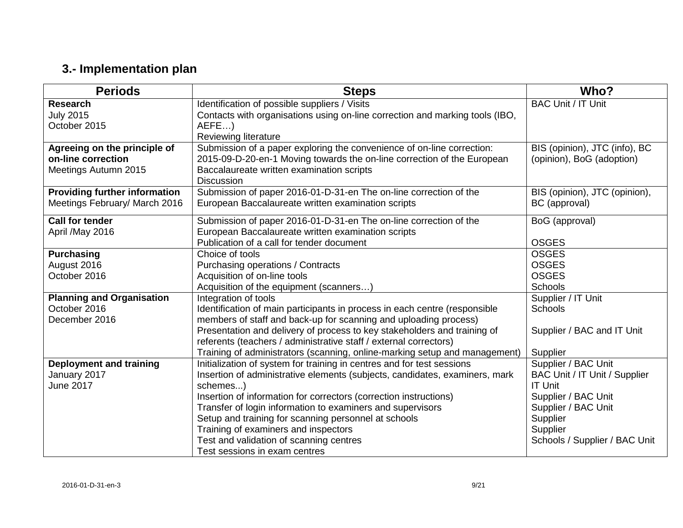# **3.- Implementation plan**

| <b>Periods</b>                       | <b>Steps</b>                                                                 | Who?                          |
|--------------------------------------|------------------------------------------------------------------------------|-------------------------------|
| <b>Research</b>                      | Identification of possible suppliers / Visits                                | <b>BAC Unit / IT Unit</b>     |
| <b>July 2015</b>                     | Contacts with organisations using on-line correction and marking tools (IBO, |                               |
| October 2015                         | AEFE)                                                                        |                               |
|                                      | Reviewing literature                                                         |                               |
| Agreeing on the principle of         | Submission of a paper exploring the convenience of on-line correction:       | BIS (opinion), JTC (info), BC |
| on-line correction                   | 2015-09-D-20-en-1 Moving towards the on-line correction of the European      | (opinion), BoG (adoption)     |
| Meetings Autumn 2015                 | Baccalaureate written examination scripts                                    |                               |
|                                      | <b>Discussion</b>                                                            |                               |
| <b>Providing further information</b> | Submission of paper 2016-01-D-31-en The on-line correction of the            | BIS (opinion), JTC (opinion), |
| Meetings February/ March 2016        | European Baccalaureate written examination scripts                           | BC (approval)                 |
| <b>Call for tender</b>               | Submission of paper 2016-01-D-31-en The on-line correction of the            | BoG (approval)                |
| April /May 2016                      | European Baccalaureate written examination scripts                           |                               |
|                                      | Publication of a call for tender document                                    | <b>OSGES</b>                  |
| <b>Purchasing</b>                    | Choice of tools                                                              | <b>OSGES</b>                  |
| August 2016                          | Purchasing operations / Contracts                                            | <b>OSGES</b>                  |
| October 2016                         | Acquisition of on-line tools                                                 | <b>OSGES</b>                  |
|                                      | Acquisition of the equipment (scanners                                       | <b>Schools</b>                |
| <b>Planning and Organisation</b>     | Integration of tools                                                         | Supplier / IT Unit            |
| October 2016                         | Identification of main participants in process in each centre (responsible   | <b>Schools</b>                |
| December 2016                        | members of staff and back-up for scanning and uploading process)             |                               |
|                                      | Presentation and delivery of process to key stakeholders and training of     | Supplier / BAC and IT Unit    |
|                                      | referents (teachers / administrative staff / external correctors)            |                               |
|                                      | Training of administrators (scanning, online-marking setup and management)   | Supplier                      |
| <b>Deployment and training</b>       | Initialization of system for training in centres and for test sessions       | Supplier / BAC Unit           |
| January 2017                         | Insertion of administrative elements (subjects, candidates, examiners, mark  | BAC Unit / IT Unit / Supplier |
| June 2017                            | schemes)                                                                     | <b>IT Unit</b>                |
|                                      | Insertion of information for correctors (correction instructions)            | Supplier / BAC Unit           |
|                                      | Transfer of login information to examiners and supervisors                   | Supplier / BAC Unit           |
|                                      | Setup and training for scanning personnel at schools                         | Supplier                      |
|                                      | Training of examiners and inspectors                                         | Supplier                      |
|                                      | Test and validation of scanning centres                                      | Schools / Supplier / BAC Unit |
|                                      | Test sessions in exam centres                                                |                               |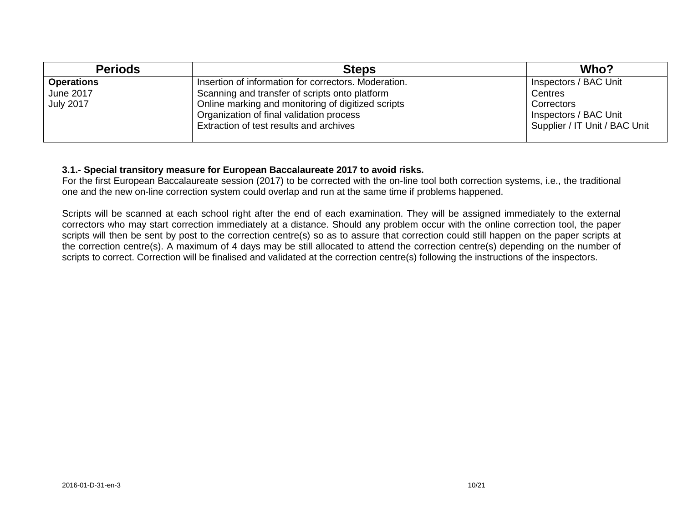| <b>Periods</b>    | <b>Steps</b>                                         | Who?                          |
|-------------------|------------------------------------------------------|-------------------------------|
| <b>Operations</b> | Insertion of information for correctors. Moderation. | Inspectors / BAC Unit         |
| June 2017         | Scanning and transfer of scripts onto platform       | Centres                       |
| <b>July 2017</b>  | Online marking and monitoring of digitized scripts   | Correctors                    |
|                   | Organization of final validation process             | Inspectors / BAC Unit         |
|                   | Extraction of test results and archives              | Supplier / IT Unit / BAC Unit |
|                   |                                                      |                               |

## **3.1.- Special transitory measure for European Baccalaureate 2017 to avoid risks.**

For the first European Baccalaureate session (2017) to be corrected with the on-line tool both correction systems, i.e., the traditional one and the new on-line correction system could overlap and run at the same time if problems happened.

Scripts will be scanned at each school right after the end of each examination. They will be assigned immediately to the external correctors who may start correction immediately at a distance. Should any problem occur with the online correction tool, the paper scripts will then be sent by post to the correction centre(s) so as to assure that correction could still happen on the paper scripts at the correction centre(s). A maximum of 4 days may be still allocated to attend the correction centre(s) depending on the number of scripts to correct. Correction will be finalised and validated at the correction centre(s) following the instructions of the inspectors.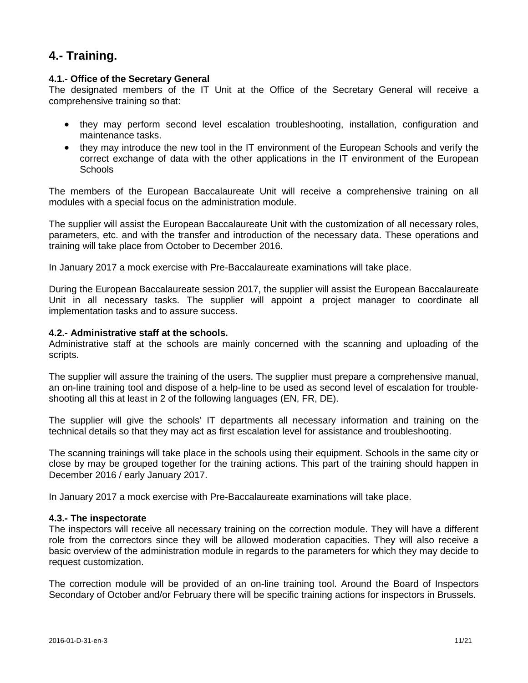## **4.- Training.**

## **4.1.- Office of the Secretary General**

The designated members of the IT Unit at the Office of the Secretary General will receive a comprehensive training so that:

- they may perform second level escalation troubleshooting, installation, configuration and maintenance tasks.
- they may introduce the new tool in the IT environment of the European Schools and verify the correct exchange of data with the other applications in the IT environment of the European **Schools**

The members of the European Baccalaureate Unit will receive a comprehensive training on all modules with a special focus on the administration module.

The supplier will assist the European Baccalaureate Unit with the customization of all necessary roles, parameters, etc. and with the transfer and introduction of the necessary data. These operations and training will take place from October to December 2016.

In January 2017 a mock exercise with Pre-Baccalaureate examinations will take place.

During the European Baccalaureate session 2017, the supplier will assist the European Baccalaureate Unit in all necessary tasks. The supplier will appoint a project manager to coordinate all implementation tasks and to assure success.

### **4.2.- Administrative staff at the schools.**

Administrative staff at the schools are mainly concerned with the scanning and uploading of the scripts.

The supplier will assure the training of the users. The supplier must prepare a comprehensive manual, an on-line training tool and dispose of a help-line to be used as second level of escalation for troubleshooting all this at least in 2 of the following languages (EN, FR, DE).

The supplier will give the schools' IT departments all necessary information and training on the technical details so that they may act as first escalation level for assistance and troubleshooting.

The scanning trainings will take place in the schools using their equipment. Schools in the same city or close by may be grouped together for the training actions. This part of the training should happen in December 2016 / early January 2017.

In January 2017 a mock exercise with Pre-Baccalaureate examinations will take place.

### **4.3.- The inspectorate**

The inspectors will receive all necessary training on the correction module. They will have a different role from the correctors since they will be allowed moderation capacities. They will also receive a basic overview of the administration module in regards to the parameters for which they may decide to request customization.

The correction module will be provided of an on-line training tool. Around the Board of Inspectors Secondary of October and/or February there will be specific training actions for inspectors in Brussels.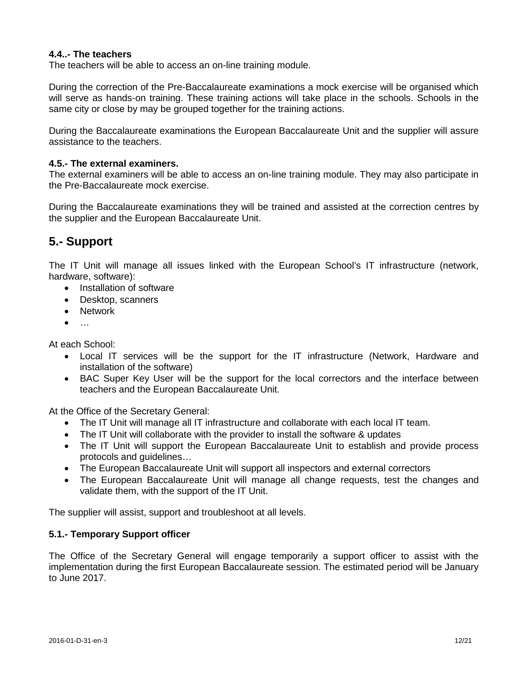## **4.4..- The teachers**

The teachers will be able to access an on-line training module.

During the correction of the Pre-Baccalaureate examinations a mock exercise will be organised which will serve as hands-on training. These training actions will take place in the schools. Schools in the same city or close by may be grouped together for the training actions.

During the Baccalaureate examinations the European Baccalaureate Unit and the supplier will assure assistance to the teachers.

## **4.5.- The external examiners.**

The external examiners will be able to access an on-line training module. They may also participate in the Pre-Baccalaureate mock exercise.

During the Baccalaureate examinations they will be trained and assisted at the correction centres by the supplier and the European Baccalaureate Unit.

## **5.- Support**

The IT Unit will manage all issues linked with the European School's IT infrastructure (network, hardware, software):

- Installation of software
- Desktop, scanners
- Network
- $\bullet$  …

At each School:

- Local IT services will be the support for the IT infrastructure (Network, Hardware and installation of the software)
- BAC Super Key User will be the support for the local correctors and the interface between teachers and the European Baccalaureate Unit.

At the Office of the Secretary General:

- The IT Unit will manage all IT infrastructure and collaborate with each local IT team.
- The IT Unit will collaborate with the provider to install the software & updates
- The IT Unit will support the European Baccalaureate Unit to establish and provide process protocols and guidelines…
- The European Baccalaureate Unit will support all inspectors and external correctors
- The European Baccalaureate Unit will manage all change requests, test the changes and validate them, with the support of the IT Unit.

The supplier will assist, support and troubleshoot at all levels.

### **5.1.- Temporary Support officer**

The Office of the Secretary General will engage temporarily a support officer to assist with the implementation during the first European Baccalaureate session. The estimated period will be January to June 2017.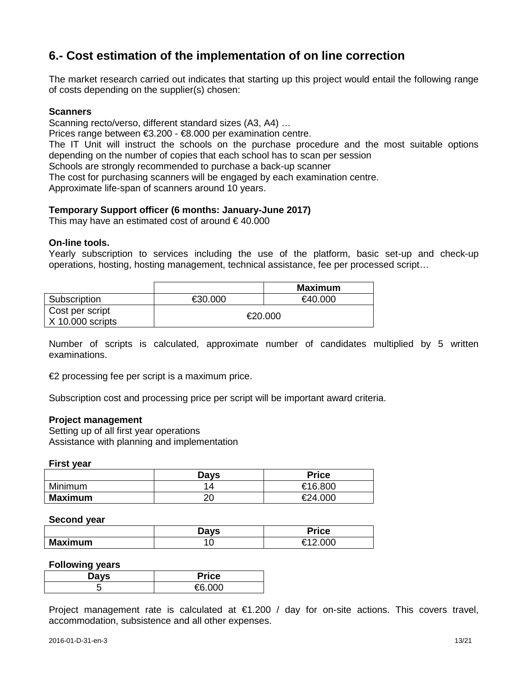## **6.- Cost estimation of the implementation of on line correction**

The market research carried out indicates that starting up this project would entail the following range of costs depending on the supplier(s) chosen:

## **Scanners**

Scanning recto/verso, different standard sizes (A3, A4) …

Prices range between €3.200 - €8.000 per examination centre.

The IT Unit will instruct the schools on the purchase procedure and the most suitable options depending on the number of copies that each school has to scan per session

Schools are strongly recommended to purchase a back-up scanner

The cost for purchasing scanners will be engaged by each examination centre.

Approximate life-span of scanners around 10 years.

### **Temporary Support officer (6 months: January-June 2017)**

This may have an estimated cost of around  $\epsilon$  40.000

### **On-line tools.**

Yearly subscription to services including the use of the platform, basic set-up and check-up operations, hosting, hosting management, technical assistance, fee per processed script…

|                                       |         | Maximum |
|---------------------------------------|---------|---------|
| Subscription                          | €30.000 | €40.000 |
| Cost per script<br>$X$ 10.000 scripts |         | €20.000 |

Number of scripts is calculated, approximate number of candidates multiplied by 5 written examinations.

€2 processing fee per script is a maximum price.

Subscription cost and processing price per script will be important award criteria.

### **Project management**

Setting up of all first year operations Assistance with planning and implementation

#### **First year**

|                | <b>Days</b> | <b>Price</b> |
|----------------|-------------|--------------|
| Minimum        | 1 Д         | €16.800      |
| <b>Maximum</b> | or          | €24.000      |

### **Second year**

|                | יונר -<br>. .<br>υu | $\mathop{{\bf \text{!}}\nolimits}$ rice |
|----------------|---------------------|-----------------------------------------|
| <b>Maximum</b> | ັ                   | $\sim$ $\sim$<br>-<br>◡                 |

#### **Following years**

| Davs<br>-- | <b>Price</b> |
|------------|--------------|
| . .        | $\sim$ טטט   |

Project management rate is calculated at  $\epsilon$ 1.200 / day for on-site actions. This covers travel, accommodation, subsistence and all other expenses.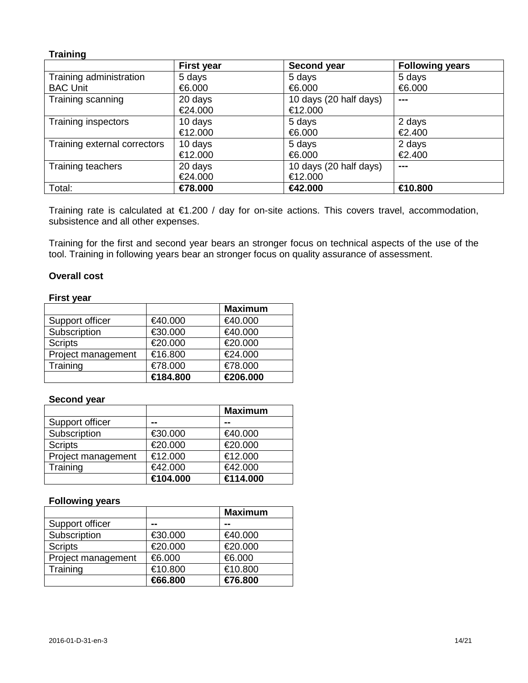### **Training**

|                              | <b>First year</b> | Second year            | <b>Following years</b> |
|------------------------------|-------------------|------------------------|------------------------|
| Training administration      | 5 days            | 5 days                 | 5 days                 |
| <b>BAC Unit</b>              | €6.000            | €6.000                 | €6.000                 |
| Training scanning            | 20 days           | 10 days (20 half days) | ---                    |
|                              | €24.000           | €12.000                |                        |
| Training inspectors          | 10 days           | 5 days                 | 2 days                 |
|                              | €12.000           | €6.000                 | €2.400                 |
| Training external correctors | 10 days           | 5 days                 | 2 days                 |
|                              | €12.000           | €6.000                 | €2.400                 |
| Training teachers            | 20 days           | 10 days (20 half days) | $- - -$                |
|                              | €24.000           | €12.000                |                        |
| Total:                       | €78.000           | €42.000                | €10.800                |

Training rate is calculated at €1.200 / day for on-site actions. This covers travel, accommodation, subsistence and all other expenses.

Training for the first and second year bears an stronger focus on technical aspects of the use of the tool. Training in following years bear an stronger focus on quality assurance of assessment.

### **Overall cost**

### **First year**

|                    |          | <b>Maximum</b> |
|--------------------|----------|----------------|
| Support officer    | €40.000  | €40.000        |
| Subscription       | €30.000  | €40.000        |
| <b>Scripts</b>     | €20.000  | €20.000        |
| Project management | €16.800  | €24.000        |
| Training           | €78.000  | €78.000        |
|                    | €184.800 | €206.000       |

### **Second year**

|                    |          | <b>Maximum</b> |
|--------------------|----------|----------------|
| Support officer    | --       | --             |
| Subscription       | €30.000  | €40.000        |
| <b>Scripts</b>     | €20.000  | €20.000        |
| Project management | €12.000  | €12.000        |
| Training           | €42.000  | €42.000        |
|                    | €104.000 | €114.000       |

### **Following years**

|                    |         | <b>Maximum</b> |
|--------------------|---------|----------------|
| Support officer    | --      | --             |
| Subscription       | €30.000 | €40.000        |
| <b>Scripts</b>     | €20.000 | €20.000        |
| Project management | €6.000  | €6.000         |
| Training           | €10.800 | €10.800        |
|                    | €66.800 | €76.800        |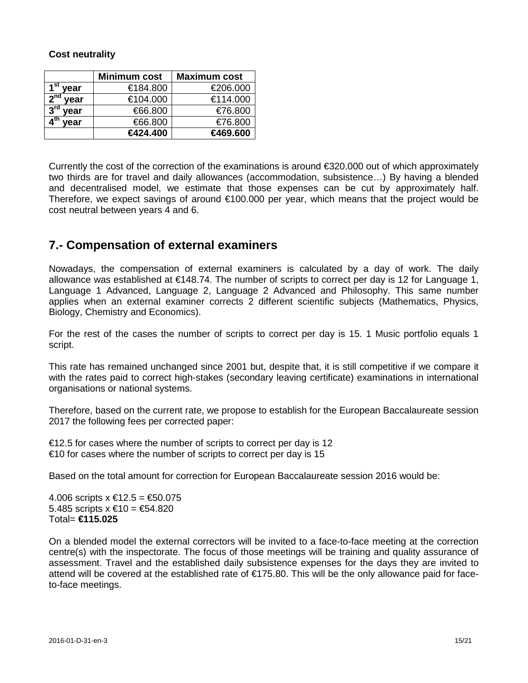## **Cost neutrality**

|                         | <b>Minimum cost</b> | <b>Maximum cost</b> |
|-------------------------|---------------------|---------------------|
| ∗ St<br>vear            | €184.800            | €206.000            |
| 2 <sup>nd</sup><br>year | €104.000            | €114.000            |
| year                    | €66.800             | €76.800             |
| vear                    | €66.800             | €76.800             |
|                         | €424.400            | €469.600            |

Currently the cost of the correction of the examinations is around  $\epsilon$ 320.000 out of which approximately two thirds are for travel and daily allowances (accommodation, subsistence…) By having a blended and decentralised model, we estimate that those expenses can be cut by approximately half. Therefore, we expect savings of around €100.000 per year, which means that the project would be cost neutral between years 4 and 6.

## **7.- Compensation of external examiners**

Nowadays, the compensation of external examiners is calculated by a day of work. The daily allowance was established at €148.74. The number of scripts to correct per day is 12 for Language 1, Language 1 Advanced, Language 2, Language 2 Advanced and Philosophy. This same number applies when an external examiner corrects 2 different scientific subjects (Mathematics, Physics, Biology, Chemistry and Economics).

For the rest of the cases the number of scripts to correct per day is 15. 1 Music portfolio equals 1 script.

This rate has remained unchanged since 2001 but, despite that, it is still competitive if we compare it with the rates paid to correct high-stakes (secondary leaving certificate) examinations in international organisations or national systems.

Therefore, based on the current rate, we propose to establish for the European Baccalaureate session 2017 the following fees per corrected paper:

 $\epsilon$ 12.5 for cases where the number of scripts to correct per day is 12  $\epsilon$ 10 for cases where the number of scripts to correct per day is 15

Based on the total amount for correction for European Baccalaureate session 2016 would be:

4.006 scripts  $x \in 12.5 = \text{\textsterling}50.075$ 5.485 scripts  $x \in 10 = 54.820$ Total= **€115.025**

On a blended model the external correctors will be invited to a face-to-face meeting at the correction centre(s) with the inspectorate. The focus of those meetings will be training and quality assurance of assessment. Travel and the established daily subsistence expenses for the days they are invited to attend will be covered at the established rate of €175.80. This will be the only allowance paid for faceto-face meetings.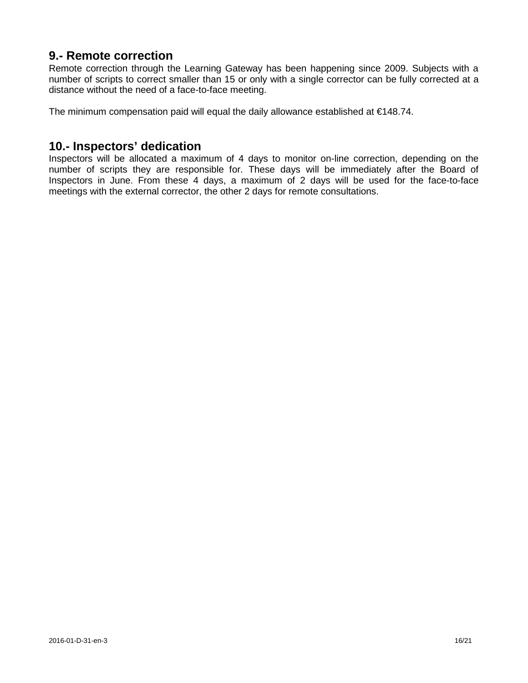## **9.- Remote correction**

Remote correction through the Learning Gateway has been happening since 2009. Subjects with a number of scripts to correct smaller than 15 or only with a single corrector can be fully corrected at a distance without the need of a face-to-face meeting.

The minimum compensation paid will equal the daily allowance established at €148.74.

## **10.- Inspectors' dedication**

Inspectors will be allocated a maximum of 4 days to monitor on-line correction, depending on the number of scripts they are responsible for. These days will be immediately after the Board of Inspectors in June. From these 4 days, a maximum of 2 days will be used for the face-to-face meetings with the external corrector, the other 2 days for remote consultations.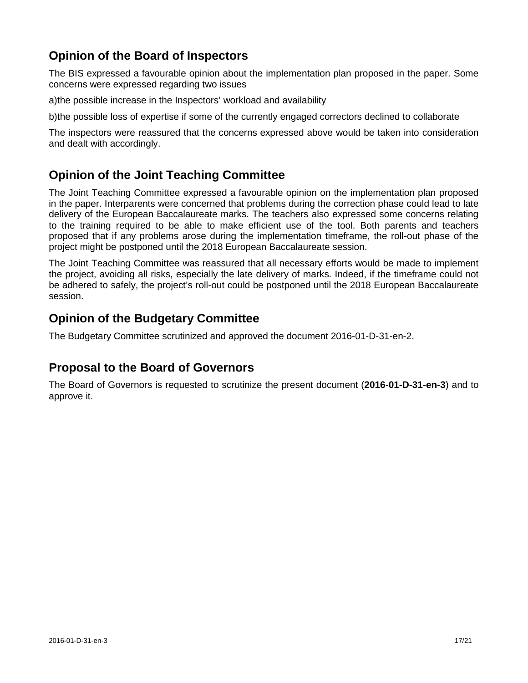## **Opinion of the Board of Inspectors**

The BIS expressed a favourable opinion about the implementation plan proposed in the paper. Some concerns were expressed regarding two issues

a)the possible increase in the Inspectors' workload and availability

b)the possible loss of expertise if some of the currently engaged correctors declined to collaborate

The inspectors were reassured that the concerns expressed above would be taken into consideration and dealt with accordingly.

## **Opinion of the Joint Teaching Committee**

The Joint Teaching Committee expressed a favourable opinion on the implementation plan proposed in the paper. Interparents were concerned that problems during the correction phase could lead to late delivery of the European Baccalaureate marks. The teachers also expressed some concerns relating to the training required to be able to make efficient use of the tool. Both parents and teachers proposed that if any problems arose during the implementation timeframe, the roll-out phase of the project might be postponed until the 2018 European Baccalaureate session.

The Joint Teaching Committee was reassured that all necessary efforts would be made to implement the project, avoiding all risks, especially the late delivery of marks. Indeed, if the timeframe could not be adhered to safely, the project's roll-out could be postponed until the 2018 European Baccalaureate session.

## **Opinion of the Budgetary Committee**

The Budgetary Committee scrutinized and approved the document 2016-01-D-31-en-2.

## **Proposal to the Board of Governors**

The Board of Governors is requested to scrutinize the present document (**2016-01-D-31-en-3**) and to approve it.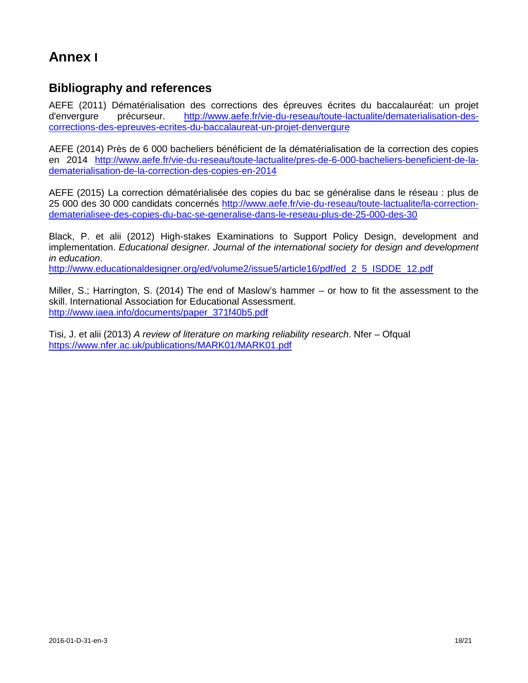# **Annex I**

## **Bibliography and references**

AEFE (2011) Dématérialisation des corrections des épreuves écrites du baccalauréat: un projet d'envergure précurseur. [http://www.aefe.fr/vie-du-reseau/toute-lactualite/dematerialisation-des](http://www.aefe.fr/vie-du-reseau/toute-lactualite/dematerialisation-des-corrections-des-epreuves-ecrites-du-baccalaureat-un-projet-denvergure)[corrections-des-epreuves-ecrites-du-baccalaureat-un-projet-denvergure](http://www.aefe.fr/vie-du-reseau/toute-lactualite/dematerialisation-des-corrections-des-epreuves-ecrites-du-baccalaureat-un-projet-denvergure)

AEFE (2014) Près de 6 000 bacheliers bénéficient de la dématérialisation de la correction des copies en 2014 [http://www.aefe.fr/vie-du-reseau/toute-lactualite/pres-de-6-000-bacheliers-beneficient-de-la](http://www.aefe.fr/vie-du-reseau/toute-lactualite/pres-de-6-000-bacheliers-beneficient-de-la-dematerialisation-de-la-correction-des-copies-en-2014)[dematerialisation-de-la-correction-des-copies-en-2014](http://www.aefe.fr/vie-du-reseau/toute-lactualite/pres-de-6-000-bacheliers-beneficient-de-la-dematerialisation-de-la-correction-des-copies-en-2014)

AEFE (2015) La correction dématérialisée des copies du bac se généralise dans le réseau : plus de 25 000 des 30 000 candidats concernés [http://www.aefe.fr/vie-du-reseau/toute-lactualite/la-correction](http://www.aefe.fr/vie-du-reseau/toute-lactualite/la-correction-dematerialisee-des-copies-du-bac-se-generalise-dans-le-reseau-plus-de-25-000-des-30)[dematerialisee-des-copies-du-bac-se-generalise-dans-le-reseau-plus-de-25-000-des-30](http://www.aefe.fr/vie-du-reseau/toute-lactualite/la-correction-dematerialisee-des-copies-du-bac-se-generalise-dans-le-reseau-plus-de-25-000-des-30)

Black, P. et alii (2012) High-stakes Examinations to Support Policy Design, development and implementation. *Educational designer. Journal of the international society for design and development in education*.

[http://www.educationaldesigner.org/ed/volume2/issue5/article16/pdf/ed\\_2\\_5\\_ISDDE\\_12.pdf](http://www.educationaldesigner.org/ed/volume2/issue5/article16/pdf/ed_2_5_ISDDE_12.pdf)

Miller, S.; Harrington, S. (2014) The end of Maslow's hammer – or how to fit the assessment to the skill. International Association for Educational Assessment. [http://www.iaea.info/documents/paper\\_371f40b5.pdf](http://www.iaea.info/documents/paper_371f40b5.pdf)

Tisi, J. et alii (2013) *A review of literature on marking reliability research*. Nfer – Ofqual <https://www.nfer.ac.uk/publications/MARK01/MARK01.pdf>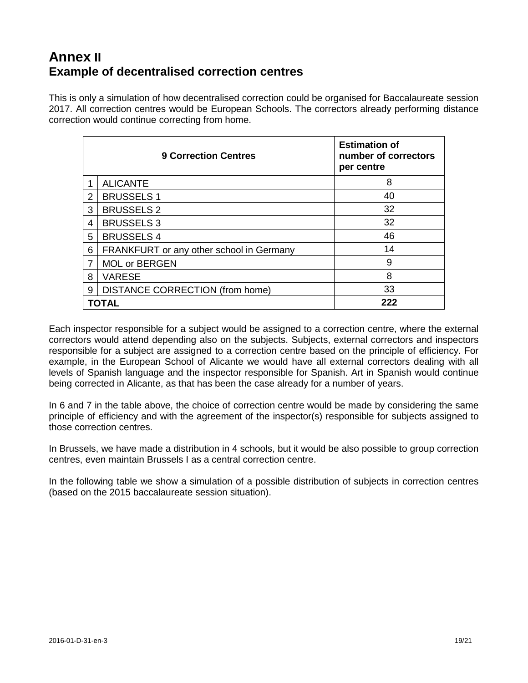## **Annex II Example of decentralised correction centres**

This is only a simulation of how decentralised correction could be organised for Baccalaureate session 2017. All correction centres would be European Schools. The correctors already performing distance correction would continue correcting from home.

|   | <b>9 Correction Centres</b>              | <b>Estimation of</b><br>number of correctors<br>per centre |
|---|------------------------------------------|------------------------------------------------------------|
|   | <b>ALICANTE</b>                          | 8                                                          |
| 2 | <b>BRUSSELS 1</b>                        | 40                                                         |
| 3 | <b>BRUSSELS 2</b>                        | 32                                                         |
| 4 | <b>BRUSSELS 3</b>                        | 32                                                         |
| 5 | <b>BRUSSELS 4</b>                        | 46                                                         |
| 6 | FRANKFURT or any other school in Germany | 14                                                         |
| 7 | <b>MOL or BERGEN</b>                     | 9                                                          |
| 8 | <b>VARESE</b>                            | 8                                                          |
| 9 | <b>DISTANCE CORRECTION (from home)</b>   | 33                                                         |
|   | TOTAL                                    | 222                                                        |

Each inspector responsible for a subject would be assigned to a correction centre, where the external correctors would attend depending also on the subjects. Subjects, external correctors and inspectors responsible for a subject are assigned to a correction centre based on the principle of efficiency. For example, in the European School of Alicante we would have all external correctors dealing with all levels of Spanish language and the inspector responsible for Spanish. Art in Spanish would continue being corrected in Alicante, as that has been the case already for a number of years.

In 6 and 7 in the table above, the choice of correction centre would be made by considering the same principle of efficiency and with the agreement of the inspector(s) responsible for subjects assigned to those correction centres.

In Brussels, we have made a distribution in 4 schools, but it would be also possible to group correction centres, even maintain Brussels I as a central correction centre.

In the following table we show a simulation of a possible distribution of subjects in correction centres (based on the 2015 baccalaureate session situation).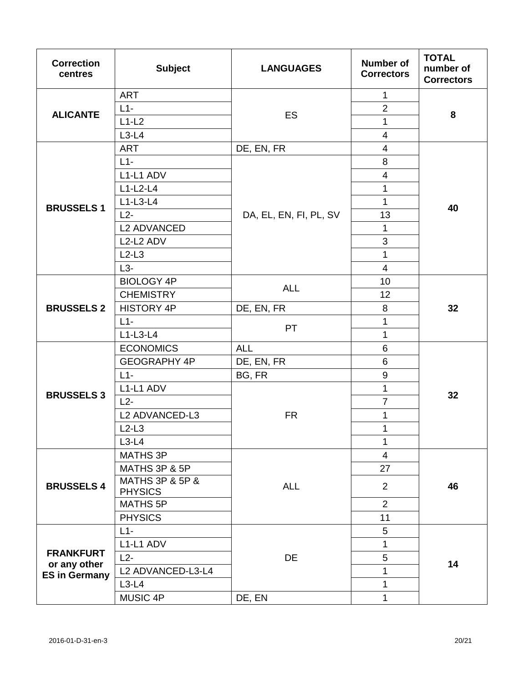| <b>Correction</b><br>centres                             | <b>Subject</b>                    | <b>LANGUAGES</b>       | <b>Number of</b><br><b>Correctors</b> | <b>TOTAL</b><br>number of<br><b>Correctors</b> |
|----------------------------------------------------------|-----------------------------------|------------------------|---------------------------------------|------------------------------------------------|
| <b>ALICANTE</b>                                          | <b>ART</b>                        | ES                     | $\mathbf{1}$                          | 8                                              |
|                                                          | $L1-$                             |                        | $\overline{2}$                        |                                                |
|                                                          | $L1-L2$                           |                        | $\mathbf{1}$                          |                                                |
|                                                          | $L3-L4$                           |                        | $\overline{4}$                        |                                                |
|                                                          | <b>ART</b>                        | DE, EN, FR             | 4                                     | 40                                             |
| <b>BRUSSELS 1</b>                                        | $L1-$                             |                        | 8                                     |                                                |
|                                                          | L1-L1 ADV                         |                        | $\overline{4}$                        |                                                |
|                                                          | $L1-L2-L4$                        |                        | $\mathbf{1}$                          |                                                |
|                                                          | $L1-L3-L4$                        |                        | 1                                     |                                                |
|                                                          | $L2-$                             | DA, EL, EN, FI, PL, SV | 13                                    |                                                |
|                                                          | <b>L2 ADVANCED</b>                |                        | $\mathbf{1}$                          |                                                |
|                                                          | L2-L2 ADV                         |                        | 3                                     |                                                |
|                                                          | $L2-L3$                           |                        | $\mathbf{1}$                          |                                                |
|                                                          | $L3-$                             |                        | $\overline{4}$                        |                                                |
|                                                          | <b>BIOLOGY 4P</b>                 | <b>ALL</b>             | 10                                    | 32                                             |
| <b>BRUSSELS 2</b>                                        | <b>CHEMISTRY</b>                  |                        | 12                                    |                                                |
|                                                          | <b>HISTORY 4P</b>                 | DE, EN, FR             | 8                                     |                                                |
|                                                          | $L1-$                             | PT                     | 1                                     |                                                |
|                                                          | $L1-L3-L4$                        |                        | $\mathbf{1}$                          |                                                |
|                                                          | <b>ECONOMICS</b>                  | <b>ALL</b>             | $6\phantom{1}$                        | 32                                             |
| <b>BRUSSELS 3</b>                                        | <b>GEOGRAPHY 4P</b>               | DE, EN, FR             | 6                                     |                                                |
|                                                          | $L1-$                             | BG, FR                 | $\boldsymbol{9}$                      |                                                |
|                                                          | L1-L1 ADV                         | <b>FR</b>              | $\mathbf 1$                           |                                                |
|                                                          | $L2-$                             |                        | $\overline{7}$                        |                                                |
|                                                          | L2 ADVANCED-L3                    |                        | $\mathbf 1$                           |                                                |
|                                                          | $L2-L3$                           |                        | $\mathbf 1$                           |                                                |
|                                                          | $L3-L4$                           |                        | $\mathbf 1$                           |                                                |
| <b>BRUSSELS 4</b>                                        | MATHS 3P                          | <b>ALL</b>             | $\overline{\mathcal{A}}$              | 46                                             |
|                                                          | MATHS 3P & 5P                     |                        | 27                                    |                                                |
|                                                          | MATHS 3P & 5P &<br><b>PHYSICS</b> |                        | $\overline{2}$                        |                                                |
|                                                          | MATHS 5P                          |                        | $\overline{2}$                        |                                                |
|                                                          | <b>PHYSICS</b>                    |                        | 11                                    |                                                |
| <b>FRANKFURT</b><br>or any other<br><b>ES in Germany</b> | $L1-$                             | DE                     | 5                                     | 14                                             |
|                                                          | L1-L1 ADV                         |                        | $\mathbf{1}$                          |                                                |
|                                                          | $L2-$                             |                        | 5                                     |                                                |
|                                                          | L2 ADVANCED-L3-L4                 |                        | $\mathbf{1}$                          |                                                |
|                                                          | $L3-L4$                           |                        | $\mathbf 1$                           |                                                |
|                                                          | MUSIC 4P                          | DE, EN                 | 1                                     |                                                |